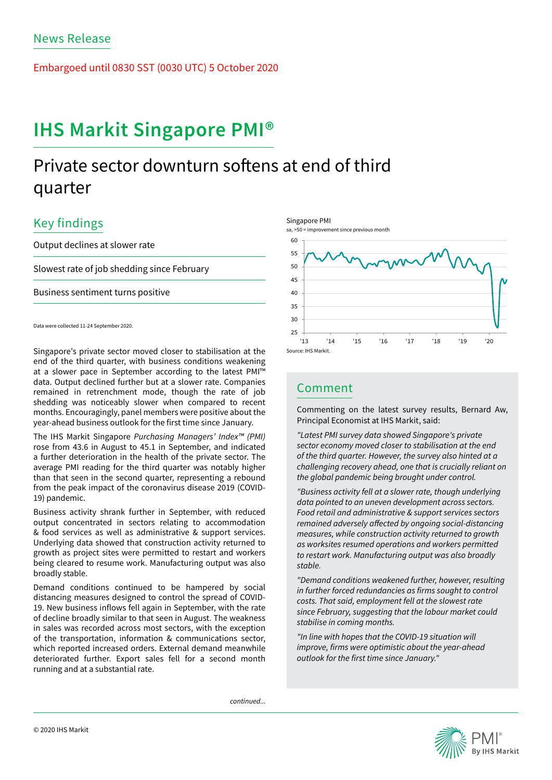Embargoed until 0830 SST (0030 UTC) 5 October 2020

# IHS Markit Singapore PMI®

# Private sector downturn softens at end of third quarter

## Key findings

Output declines at slower rate

Slowest rate of job shedding since February

Business sentiment turns positive

Data were collected 11-24 September 2020.

Singapore's private sector moved closer to stabilisation at the end of the third quarter, with business conditions weakening at a slower pace in September according to the latest PMI™ data. Output declined further but at a slower rate. Companies remained in retrenchment mode, though the rate of job shedding was noticeably slower when compared to recent months. Encouragingly, panel members were positive about the year-ahead business outlook for the first time since January.

The IHS Markit Singapore *Purchasing Managers' Index™ (PMI)*  rose from 43.6 in August to 45.1 in September, and indicated a further deterioration in the health of the private sector. The average PMI reading for the third quarter was notably higher than that seen in the second quarter, representing a rebound from the peak impact of the coronavirus disease 2019 (COVID-19) pandemic.

Business activity shrank further in September, with reduced output concentrated in sectors relating to accommodation & food services as well as administrative & support services. Underlying data showed that construction activity returned to growth as project sites were permitted to restart and workers being cleared to resume work. Manufacturing output was also broadly stable.

Demand conditions continued to be hampered by social distancing measures designed to control the spread of COVID-19. New business inflows fell again in September, with the rate of decline broadly similar to that seen in August. The weakness in sales was recorded across most sectors, with the exception of the transportation, information & communications sector, which reported increased orders. External demand meanwhile deteriorated further. Export sales fell for a second month running and at a substantial rate.







### Comment

Commenting on the latest survey results, Bernard Aw, Principal Economist at IHS Markit, said:

*"Latest PMI survey data showed Singapore's private sector economy moved closer to stabilisation at the end of the third quarter. However, the survey also hinted at a challenging recovery ahead, one that is crucially reliant on the global pandemic being brought under control.*

*"Business activity fell at a slower rate, though underlying data pointed to an uneven development across sectors. Food retail and administrative & support services sectors remained adversely affected by ongoing social-distancing measures, while construction activity returned to growth as worksites resumed operations and workers permitted to restart work. Manufacturing output was also broadly stable.*

*"Demand conditions weakened further, however, resulting in further forced redundancies as firms sought to control costs. That said, employment fell at the slowest rate since February, suggesting that the labour market could stabilise in coming months.*

*"In line with hopes that the COVID-19 situation will improve, firms were optimistic about the year-ahead outlook for the first time since January."*

*continued...*